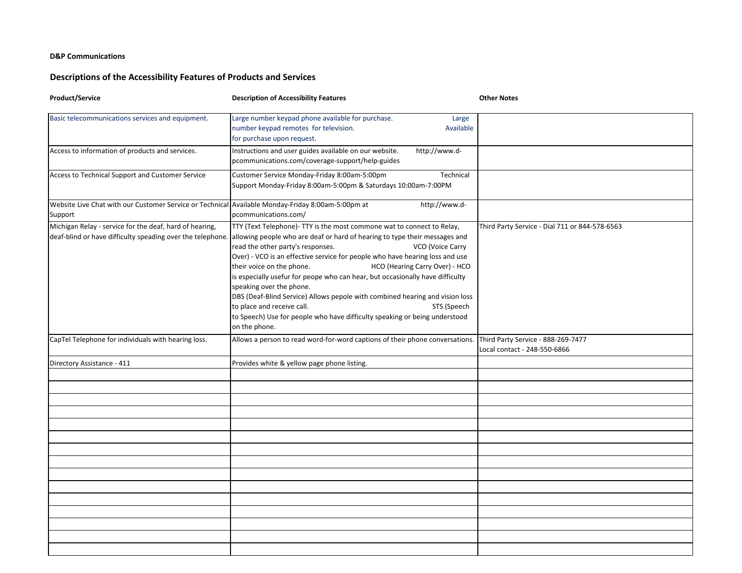## **D&P Communications**

## **Descriptions of the Accessibility Features of Products and Services**

| <b>Product/Service</b>                                                                                                | <b>Description of Accessibility Features</b>                                                                                                                                                                                                                                                                                                                                                                                                                                                                                                                                                                                                                                                          | <b>Other Notes</b>                                                 |
|-----------------------------------------------------------------------------------------------------------------------|-------------------------------------------------------------------------------------------------------------------------------------------------------------------------------------------------------------------------------------------------------------------------------------------------------------------------------------------------------------------------------------------------------------------------------------------------------------------------------------------------------------------------------------------------------------------------------------------------------------------------------------------------------------------------------------------------------|--------------------------------------------------------------------|
| Basic telecommunications services and equipment.                                                                      | Large number keypad phone available for purchase.<br>Large<br>number keypad remotes for television.<br>Available<br>for purchase upon request.                                                                                                                                                                                                                                                                                                                                                                                                                                                                                                                                                        |                                                                    |
| Access to information of products and services.                                                                       | Instructions and user guides available on our website.<br>http://www.d-<br>pcommunications.com/coverage-support/help-guides                                                                                                                                                                                                                                                                                                                                                                                                                                                                                                                                                                           |                                                                    |
| Access to Technical Support and Customer Service                                                                      | Customer Service Monday-Friday 8:00am-5:00pm<br>Technical<br>Support Monday-Friday 8:00am-5:00pm & Saturdays 10:00am-7:00PM                                                                                                                                                                                                                                                                                                                                                                                                                                                                                                                                                                           |                                                                    |
| Website Live Chat with our Customer Service or Technical Available Monday-Friday 8:00am-5:00pm at<br>Support          | http://www.d-<br>pcommunications.com/                                                                                                                                                                                                                                                                                                                                                                                                                                                                                                                                                                                                                                                                 |                                                                    |
| Michigan Relay - service for the deaf, hard of hearing,<br>deaf-blind or have difficulty speading over the telephone. | TTY (Text Telephone)- TTY is the most commone wat to connect to Relay,<br>allowing people who are deaf or hard of hearing to type their messages and<br>read the other party's responses.<br>VCO (Voice Carry<br>Over) - VCO is an effective service for people who have hearing loss and use<br>HCO (Hearing Carry Over) - HCO<br>their voice on the phone.<br>is especially usefur for peope who can hear, but occasionally have difficulty<br>speaking over the phone.<br>DBS (Deaf-Blind Service) Allows pepole with combined hearing and vision loss<br>to place and receive call.<br>STS (Speech<br>to Speech) Use for people who have difficulty speaking or being understood<br>on the phone. | Third Party Service - Dial 711 or 844-578-6563                     |
| CapTel Telephone for individuals with hearing loss.                                                                   | Allows a person to read word-for-word captions of their phone conversations.                                                                                                                                                                                                                                                                                                                                                                                                                                                                                                                                                                                                                          | Third Party Service - 888-269-7477<br>Local contact - 248-550-6866 |
| Directory Assistance - 411                                                                                            | Provides white & yellow page phone listing.                                                                                                                                                                                                                                                                                                                                                                                                                                                                                                                                                                                                                                                           |                                                                    |
|                                                                                                                       |                                                                                                                                                                                                                                                                                                                                                                                                                                                                                                                                                                                                                                                                                                       |                                                                    |
|                                                                                                                       |                                                                                                                                                                                                                                                                                                                                                                                                                                                                                                                                                                                                                                                                                                       |                                                                    |
|                                                                                                                       |                                                                                                                                                                                                                                                                                                                                                                                                                                                                                                                                                                                                                                                                                                       |                                                                    |
|                                                                                                                       |                                                                                                                                                                                                                                                                                                                                                                                                                                                                                                                                                                                                                                                                                                       |                                                                    |
|                                                                                                                       |                                                                                                                                                                                                                                                                                                                                                                                                                                                                                                                                                                                                                                                                                                       |                                                                    |
|                                                                                                                       |                                                                                                                                                                                                                                                                                                                                                                                                                                                                                                                                                                                                                                                                                                       |                                                                    |
|                                                                                                                       |                                                                                                                                                                                                                                                                                                                                                                                                                                                                                                                                                                                                                                                                                                       |                                                                    |
|                                                                                                                       |                                                                                                                                                                                                                                                                                                                                                                                                                                                                                                                                                                                                                                                                                                       |                                                                    |
|                                                                                                                       |                                                                                                                                                                                                                                                                                                                                                                                                                                                                                                                                                                                                                                                                                                       |                                                                    |
|                                                                                                                       |                                                                                                                                                                                                                                                                                                                                                                                                                                                                                                                                                                                                                                                                                                       |                                                                    |
|                                                                                                                       |                                                                                                                                                                                                                                                                                                                                                                                                                                                                                                                                                                                                                                                                                                       |                                                                    |
|                                                                                                                       |                                                                                                                                                                                                                                                                                                                                                                                                                                                                                                                                                                                                                                                                                                       |                                                                    |
|                                                                                                                       |                                                                                                                                                                                                                                                                                                                                                                                                                                                                                                                                                                                                                                                                                                       |                                                                    |
|                                                                                                                       |                                                                                                                                                                                                                                                                                                                                                                                                                                                                                                                                                                                                                                                                                                       |                                                                    |